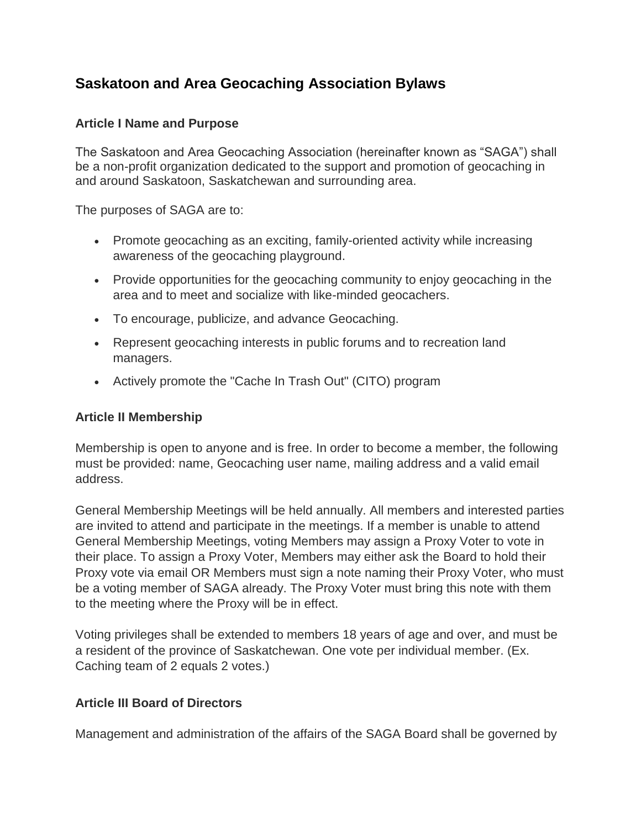# **Saskatoon and Area Geocaching Association Bylaws**

#### **Article I Name and Purpose**

The Saskatoon and Area Geocaching Association (hereinafter known as "SAGA") shall be a non-profit organization dedicated to the support and promotion of geocaching in and around Saskatoon, Saskatchewan and surrounding area.

The purposes of SAGA are to:

- Promote geocaching as an exciting, family-oriented activity while increasing awareness of the geocaching playground.
- Provide opportunities for the geocaching community to enjoy geocaching in the area and to meet and socialize with like-minded geocachers.
- To encourage, publicize, and advance Geocaching.
- Represent geocaching interests in public forums and to recreation land managers.
- Actively promote the "Cache In Trash Out" (CITO) program

#### **Article II Membership**

Membership is open to anyone and is free. In order to become a member, the following must be provided: name, Geocaching user name, mailing address and a valid email address.

General Membership Meetings will be held annually. All members and interested parties are invited to attend and participate in the meetings. If a member is unable to attend General Membership Meetings, voting Members may assign a Proxy Voter to vote in their place. To assign a Proxy Voter, Members may either ask the Board to hold their Proxy vote via email OR Members must sign a note naming their Proxy Voter, who must be a voting member of SAGA already. The Proxy Voter must bring this note with them to the meeting where the Proxy will be in effect.

Voting privileges shall be extended to members 18 years of age and over, and must be a resident of the province of Saskatchewan. One vote per individual member. (Ex. Caching team of 2 equals 2 votes.)

### **Article III Board of Directors**

Management and administration of the affairs of the SAGA Board shall be governed by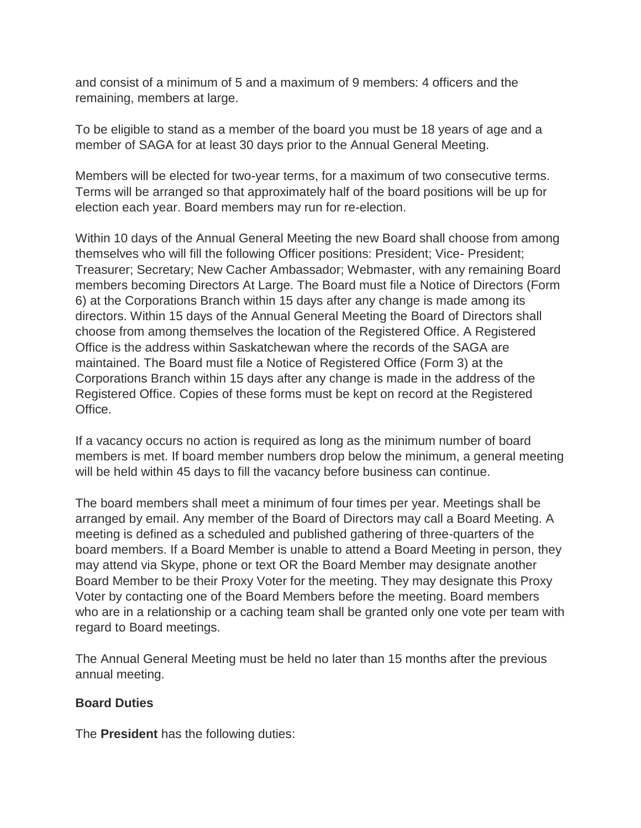and consist of a minimum of 5 and a maximum of 9 members: 4 officers and the remaining, members at large.

To be eligible to stand as a member of the board you must be 18 years of age and a member of SAGA for at least 30 days prior to the Annual General Meeting.

Members will be elected for two-year terms, for a maximum of two consecutive terms. Terms will be arranged so that approximately half of the board positions will be up for election each year. Board members may run for re-election.

Within 10 days of the Annual General Meeting the new Board shall choose from among themselves who will fill the following Officer positions: President; Vice- President; Treasurer; Secretary; New Cacher Ambassador; Webmaster, with any remaining Board members becoming Directors At Large. The Board must file a Notice of Directors (Form 6) at the Corporations Branch within 15 days after any change is made among its directors. Within 15 days of the Annual General Meeting the Board of Directors shall choose from among themselves the location of the Registered Office. A Registered Office is the address within Saskatchewan where the records of the SAGA are maintained. The Board must file a Notice of Registered Office (Form 3) at the Corporations Branch within 15 days after any change is made in the address of the Registered Office. Copies of these forms must be kept on record at the Registered Office.

If a vacancy occurs no action is required as long as the minimum number of board members is met. If board member numbers drop below the minimum, a general meeting will be held within 45 days to fill the vacancy before business can continue.

The board members shall meet a minimum of four times per year. Meetings shall be arranged by email. Any member of the Board of Directors may call a Board Meeting. A meeting is defined as a scheduled and published gathering of three-quarters of the board members. If a Board Member is unable to attend a Board Meeting in person, they may attend via Skype, phone or text OR the Board Member may designate another Board Member to be their Proxy Voter for the meeting. They may designate this Proxy Voter by contacting one of the Board Members before the meeting. Board members who are in a relationship or a caching team shall be granted only one vote per team with regard to Board meetings.

The Annual General Meeting must be held no later than 15 months after the previous annual meeting.

### **Board Duties**

The **President** has the following duties: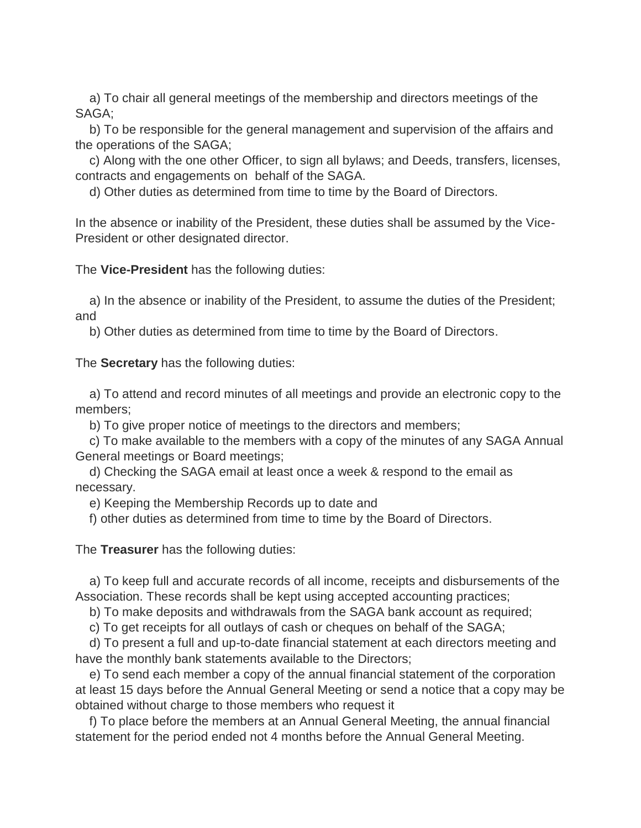a) To chair all general meetings of the membership and directors meetings of the SAGA;

 b) To be responsible for the general management and supervision of the affairs and the operations of the SAGA;

 c) Along with the one other Officer, to sign all bylaws; and Deeds, transfers, licenses, contracts and engagements on behalf of the SAGA.

d) Other duties as determined from time to time by the Board of Directors.

In the absence or inability of the President, these duties shall be assumed by the Vice-President or other designated director.

The **Vice-President** has the following duties:

 a) In the absence or inability of the President, to assume the duties of the President; and

b) Other duties as determined from time to time by the Board of Directors.

The **Secretary** has the following duties:

 a) To attend and record minutes of all meetings and provide an electronic copy to the members;

b) To give proper notice of meetings to the directors and members;

 c) To make available to the members with a copy of the minutes of any SAGA Annual General meetings or Board meetings;

 d) Checking the SAGA email at least once a week & respond to the email as necessary.

e) Keeping the Membership Records up to date and

f) other duties as determined from time to time by the Board of Directors.

The **Treasurer** has the following duties:

 a) To keep full and accurate records of all income, receipts and disbursements of the Association. These records shall be kept using accepted accounting practices;

b) To make deposits and withdrawals from the SAGA bank account as required;

c) To get receipts for all outlays of cash or cheques on behalf of the SAGA;

 d) To present a full and up-to-date financial statement at each directors meeting and have the monthly bank statements available to the Directors;

 e) To send each member a copy of the annual financial statement of the corporation at least 15 days before the Annual General Meeting or send a notice that a copy may be obtained without charge to those members who request it

 f) To place before the members at an Annual General Meeting, the annual financial statement for the period ended not 4 months before the Annual General Meeting.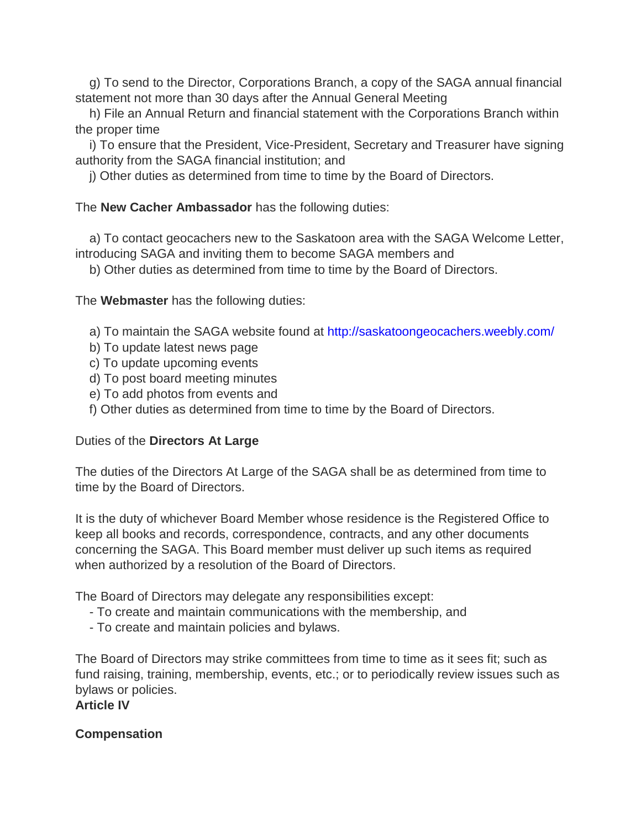g) To send to the Director, Corporations Branch, a copy of the SAGA annual financial statement not more than 30 days after the Annual General Meeting

 h) File an Annual Return and financial statement with the Corporations Branch within the proper time

 i) To ensure that the President, Vice-President, Secretary and Treasurer have signing authority from the SAGA financial institution; and

j) Other duties as determined from time to time by the Board of Directors.

### The **New Cacher Ambassador** has the following duties:

 a) To contact geocachers new to the Saskatoon area with the SAGA Welcome Letter, introducing SAGA and inviting them to become SAGA members and

b) Other duties as determined from time to time by the Board of Directors.

The **Webmaster** has the following duties:

a) To maintain the SAGA website found at <http://saskatoongeocachers.weebly.com/>

- b) To update latest news page
- c) To update upcoming events
- d) To post board meeting minutes
- e) To add photos from events and
- f) Other duties as determined from time to time by the Board of Directors.

### Duties of the **Directors At Large**

The duties of the Directors At Large of the SAGA shall be as determined from time to time by the Board of Directors.

It is the duty of whichever Board Member whose residence is the Registered Office to keep all books and records, correspondence, contracts, and any other documents concerning the SAGA. This Board member must deliver up such items as required when authorized by a resolution of the Board of Directors.

The Board of Directors may delegate any responsibilities except:

- To create and maintain communications with the membership, and
- To create and maintain policies and bylaws.

The Board of Directors may strike committees from time to time as it sees fit; such as fund raising, training, membership, events, etc.; or to periodically review issues such as bylaws or policies.

**Article IV**

### **Compensation**